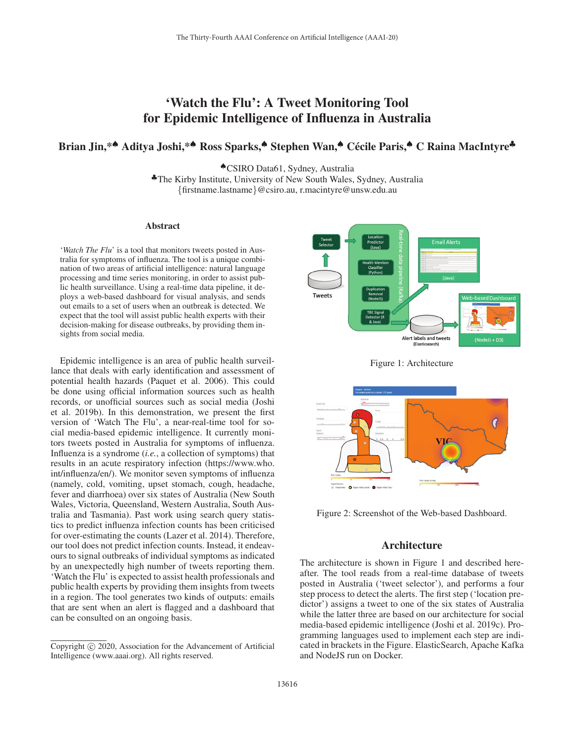## 'Watch the Flu': A Tweet Monitoring Tool for Epidemic Intelligence of Influenza in Australia

# Brian Jin,<sup>\*▲</sup> Aditya Joshi,<sup>\*▲</sup> Ross Sparks,<sup>▲</sup> Stephen Wan,<sup>▲</sup> Cécile Paris,<sup>▲</sup> C Raina MacIntyre<sup>♣</sup>

♠CSIRO Data61, Sydney, Australia

♣The Kirby Institute, University of New South Wales, Sydney, Australia {firstname.lastname}@csiro.au, r.macintyre@unsw.edu.au

#### Abstract

'*Watch The Flu*' is a tool that monitors tweets posted in Australia for symptoms of influenza. The tool is a unique combination of two areas of artificial intelligence: natural language processing and time series monitoring, in order to assist public health surveillance. Using a real-time data pipeline, it deploys a web-based dashboard for visual analysis, and sends out emails to a set of users when an outbreak is detected. We expect that the tool will assist public health experts with their decision-making for disease outbreaks, by providing them insights from social media.

Epidemic intelligence is an area of public health surveillance that deals with early identification and assessment of potential health hazards (Paquet et al. 2006). This could be done using official information sources such as health records, or unofficial sources such as social media (Joshi et al. 2019b). In this demonstration, we present the first version of 'Watch The Flu', a near-real-time tool for social media-based epidemic intelligence. It currently monitors tweets posted in Australia for symptoms of influenza. Influenza is a syndrome (*i.e.*, a collection of symptoms) that results in an acute respiratory infection (https://www.who. int/influenza/en/). We monitor seven symptoms of influenza (namely, cold, vomiting, upset stomach, cough, headache, fever and diarrhoea) over six states of Australia (New South Wales, Victoria, Queensland, Western Australia, South Australia and Tasmania). Past work using search query statistics to predict influenza infection counts has been criticised for over-estimating the counts (Lazer et al. 2014). Therefore, our tool does not predict infection counts. Instead, it endeavours to signal outbreaks of individual symptoms as indicated by an unexpectedly high number of tweets reporting them. 'Watch the Flu' is expected to assist health professionals and public health experts by providing them insights from tweets in a region. The tool generates two kinds of outputs: emails that are sent when an alert is flagged and a dashboard that can be consulted on an ongoing basis.



Figure 1: Architecture



Figure 2: Screenshot of the Web-based Dashboard.

#### **Architecture**

The architecture is shown in Figure 1 and described hereafter. The tool reads from a real-time database of tweets posted in Australia ('tweet selector'), and performs a four step process to detect the alerts. The first step ('location predictor') assigns a tweet to one of the six states of Australia while the latter three are based on our architecture for social media-based epidemic intelligence (Joshi et al. 2019c). Programming languages used to implement each step are indicated in brackets in the Figure. ElasticSearch, Apache Kafka and NodeJS run on Docker.

Copyright  $\odot$  2020, Association for the Advancement of Artificial Intelligence (www.aaai.org). All rights reserved.